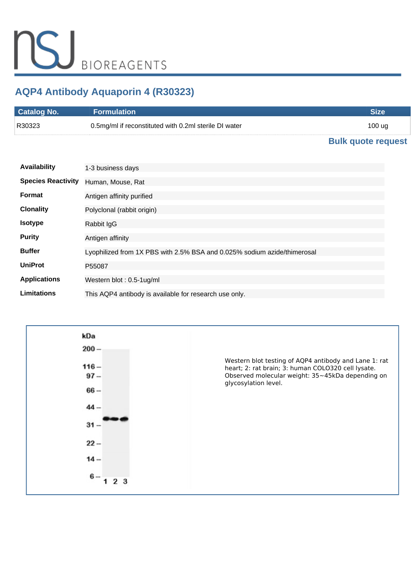# **AQP4 Antibody Aquaporin 4 (R30323)**

| R30323<br>0.5mg/ml if reconstituted with 0.2ml sterile DI water<br>100 ug | <b>Catalog No.</b> | <b>Formulation</b> | Size |
|---------------------------------------------------------------------------|--------------------|--------------------|------|
|                                                                           |                    |                    |      |

#### **[Bulk quote request](https://www.nsjbio.com/bulk_quotereq.php?root_cat_no=R30323)**

| <b>Availability</b>       | 1-3 business days                                                        |
|---------------------------|--------------------------------------------------------------------------|
| <b>Species Reactivity</b> | Human, Mouse, Rat                                                        |
| Format                    | Antigen affinity purified                                                |
| <b>Clonality</b>          | Polyclonal (rabbit origin)                                               |
| <b>Isotype</b>            | Rabbit IgG                                                               |
| <b>Purity</b>             | Antigen affinity                                                         |
| <b>Buffer</b>             | Lyophilized from 1X PBS with 2.5% BSA and 0.025% sodium azide/thimerosal |
| <b>UniProt</b>            | P55087                                                                   |
| <b>Applications</b>       | Western blot: 0.5-1ug/ml                                                 |
| Limitations               | This AQP4 antibody is available for research use only.                   |